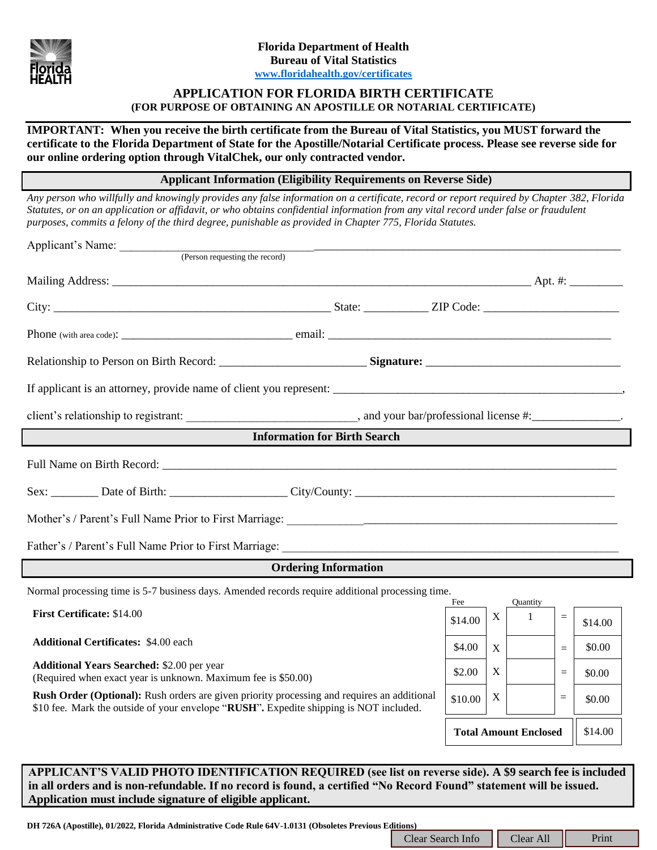

# **APPLICATION FOR FLORIDA BIRTH CERTIFICATE (FOR PURPOSE OF OBTAINING AN APOSTILLE OR NOTARIAL CERTIFICATE)**

**IMPORTANT: When you receive the birth certificate from the Bureau of Vital Statistics, you MUST forward the certificate to the Florida Department of State for the Apostille/Notarial Certificate process. Please see reverse side for our online ordering option through VitalChek, our only contracted vendor.**

**Applicant Information (Eligibility Requirements on Reverse Side)**

*Any person who willfully and knowingly provides any false information on a certificate, record or report required by Chapter 382, Florida Statutes, or on an application or affidavit, or who obtains confidential information from any vital record under false or fraudulent purposes, commits a felony of the third degree, punishable as provided in Chapter 775, Florida Statutes.*

| Applicant's Name: (Person requesting the record)                                                                                                                                                                                                                                             |  |                                         |                  |              |          |         |  |
|----------------------------------------------------------------------------------------------------------------------------------------------------------------------------------------------------------------------------------------------------------------------------------------------|--|-----------------------------------------|------------------|--------------|----------|---------|--|
|                                                                                                                                                                                                                                                                                              |  |                                         |                  |              |          |         |  |
|                                                                                                                                                                                                                                                                                              |  |                                         |                  |              |          |         |  |
|                                                                                                                                                                                                                                                                                              |  |                                         |                  |              |          |         |  |
|                                                                                                                                                                                                                                                                                              |  |                                         |                  |              |          |         |  |
|                                                                                                                                                                                                                                                                                              |  |                                         |                  |              |          |         |  |
|                                                                                                                                                                                                                                                                                              |  |                                         |                  |              |          |         |  |
| <b>Information for Birth Search</b>                                                                                                                                                                                                                                                          |  |                                         |                  |              |          |         |  |
|                                                                                                                                                                                                                                                                                              |  |                                         |                  |              |          |         |  |
|                                                                                                                                                                                                                                                                                              |  |                                         |                  |              |          |         |  |
|                                                                                                                                                                                                                                                                                              |  |                                         |                  |              |          |         |  |
|                                                                                                                                                                                                                                                                                              |  |                                         |                  |              |          |         |  |
| <b>Ordering Information</b>                                                                                                                                                                                                                                                                  |  |                                         |                  |              |          |         |  |
| Normal processing time is 5-7 business days. Amended records require additional processing time.<br>Fee<br><b>Quantity</b>                                                                                                                                                                   |  |                                         |                  |              |          |         |  |
| First Certificate: \$14.00                                                                                                                                                                                                                                                                   |  | \$14.00                                 | $\mathbf X$      | $\mathbf{1}$ | $=$      | \$14.00 |  |
| <b>Additional Certificates: \$4.00 each</b>                                                                                                                                                                                                                                                  |  | \$4.00                                  | $\boldsymbol{X}$ |              | $\equiv$ | \$0.00  |  |
| <b>Additional Years Searched: \$2.00 per year</b><br>(Required when exact year is unknown. Maximum fee is \$50.00)                                                                                                                                                                           |  | \$2.00                                  | X                |              | $=$      | \$0.00  |  |
| <b>Rush Order (Optional):</b> Rush orders are given priority processing and requires an additional<br>\$10 fee. Mark the outside of your envelope "RUSH". Expedite shipping is NOT included.                                                                                                 |  | \$10.00                                 | X                |              | $=$      | \$0.00  |  |
|                                                                                                                                                                                                                                                                                              |  | <b>Total Amount Enclosed</b><br>\$14.00 |                  |              |          |         |  |
|                                                                                                                                                                                                                                                                                              |  |                                         |                  |              |          |         |  |
| APPLICANT'S VALID PHOTO IDENTIFICATION REQUIRED (see list on reverse side). A \$9 search fee is included<br>in all orders and is non-refundable. If no record is found, a certified "No Record Found" statement will be issued.<br>Application must include signature of eligible applicant. |  |                                         |                  |              |          |         |  |
| DH 726A (Apostille), 01/2022, Florida Administrative Code Rule 64V-1.0131 (Obsoletes Previous Editions)                                                                                                                                                                                      |  | Clear All<br>Print<br>Clear Search Info |                  |              |          |         |  |